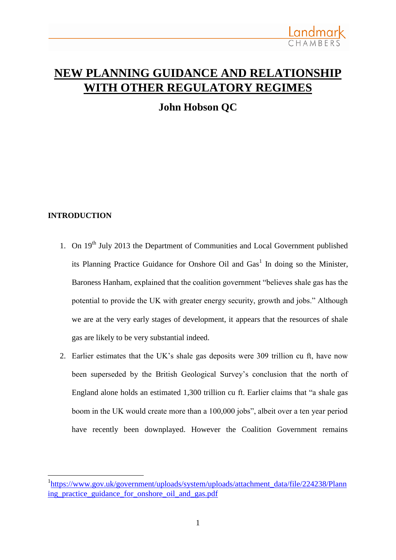

# **NEW PLANNING GUIDANCE AND RELATIONSHIP WITH OTHER REGULATORY REGIMES**

**John Hobson QC**

## **INTRODUCTION**

1

- 1. On  $19<sup>th</sup>$  July 2013 the Department of Communities and Local Government published its Planning Practice Guidance for Onshore Oil and  $\text{Gas}^1$  In doing so the Minister, Baroness Hanham, explained that the coalition government "believes shale gas has the potential to provide the UK with greater energy security, growth and jobs." Although we are at the very early stages of development, it appears that the resources of shale gas are likely to be very substantial indeed.
- 2. Earlier estimates that the UK's shale gas deposits were 309 trillion cu ft, have now been superseded by the British Geological Survey's conclusion that the north of England alone holds an estimated 1,300 trillion cu ft. Earlier claims that "a shale gas boom in the UK would create more than a 100,000 jobs", albeit over a ten year period have recently been downplayed. However the Coalition Government remains

<sup>&</sup>lt;sup>1</sup>[https://www.gov.uk/government/uploads/system/uploads/attachment\\_data/file/224238/Plann](https://www.gov.uk/government/uploads/system/uploads/attachment_data/file/224238/Planning_practice_guidance_for_onshore_oil_and_gas.pdf) [ing\\_practice\\_guidance\\_for\\_onshore\\_oil\\_and\\_gas.pdf](https://www.gov.uk/government/uploads/system/uploads/attachment_data/file/224238/Planning_practice_guidance_for_onshore_oil_and_gas.pdf)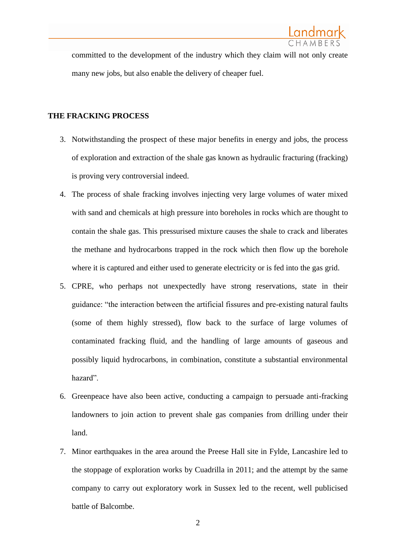

committed to the development of the industry which they claim will not only create many new jobs, but also enable the delivery of cheaper fuel.

#### **THE FRACKING PROCESS**

- 3. Notwithstanding the prospect of these major benefits in energy and jobs, the process of exploration and extraction of the shale gas known as hydraulic fracturing (fracking) is proving very controversial indeed.
- 4. The process of shale fracking involves injecting very large volumes of water mixed with sand and chemicals at high pressure into boreholes in rocks which are thought to contain the shale gas. This pressurised mixture causes the shale to crack and liberates the methane and hydrocarbons trapped in the rock which then flow up the borehole where it is captured and either used to generate electricity or is fed into the gas grid.
- 5. CPRE, who perhaps not unexpectedly have strong reservations, state in their guidance: "the interaction between the artificial fissures and pre-existing natural faults (some of them highly stressed), flow back to the surface of large volumes of contaminated fracking fluid, and the handling of large amounts of gaseous and possibly liquid hydrocarbons, in combination, constitute a substantial environmental hazard".
- 6. Greenpeace have also been active, conducting a campaign to persuade anti-fracking landowners to join action to prevent shale gas companies from drilling under their land.
- 7. Minor earthquakes in the area around the Preese Hall site in Fylde, Lancashire led to the stoppage of exploration works by Cuadrilla in 2011; and the attempt by the same company to carry out exploratory work in Sussex led to the recent, well publicised battle of Balcombe.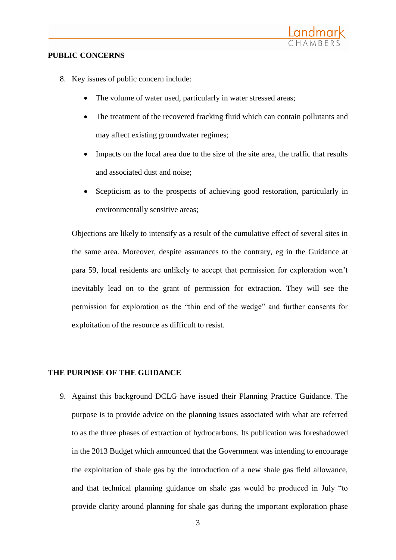

#### **PUBLIC CONCERNS**

- 8. Key issues of public concern include:
	- The volume of water used, particularly in water stressed areas;
	- The treatment of the recovered fracking fluid which can contain pollutants and may affect existing groundwater regimes;
	- Impacts on the local area due to the size of the site area, the traffic that results and associated dust and noise;
	- Scepticism as to the prospects of achieving good restoration, particularly in environmentally sensitive areas;

Objections are likely to intensify as a result of the cumulative effect of several sites in the same area. Moreover, despite assurances to the contrary, eg in the Guidance at para 59, local residents are unlikely to accept that permission for exploration won't inevitably lead on to the grant of permission for extraction. They will see the permission for exploration as the "thin end of the wedge" and further consents for exploitation of the resource as difficult to resist.

#### **THE PURPOSE OF THE GUIDANCE**

9. Against this background DCLG have issued their Planning Practice Guidance. The purpose is to provide advice on the planning issues associated with what are referred to as the three phases of extraction of hydrocarbons. Its publication was foreshadowed in the 2013 Budget which announced that the Government was intending to encourage the exploitation of shale gas by the introduction of a new shale gas field allowance, and that technical planning guidance on shale gas would be produced in July "to provide clarity around planning for shale gas during the important exploration phase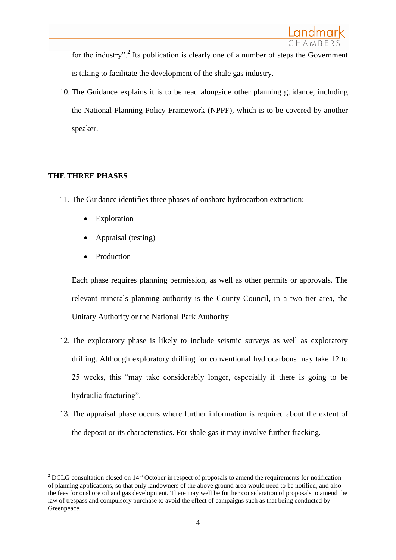for the industry".<sup>2</sup> Its publication is clearly one of a number of steps the Government is taking to facilitate the development of the shale gas industry.

10. The Guidance explains it is to be read alongside other planning guidance, including the National Planning Policy Framework (NPPF), which is to be covered by another speaker.

# **THE THREE PHASES**

- 11. The Guidance identifies three phases of onshore hydrocarbon extraction:
	- Exploration
	- Appraisal (testing)
	- Production

Each phase requires planning permission, as well as other permits or approvals. The relevant minerals planning authority is the County Council, in a two tier area, the Unitary Authority or the National Park Authority

- 12. The exploratory phase is likely to include seismic surveys as well as exploratory drilling. Although exploratory drilling for conventional hydrocarbons may take 12 to 25 weeks, this "may take considerably longer, especially if there is going to be hydraulic fracturing".
- 13. The appraisal phase occurs where further information is required about the extent of the deposit or its characteristics. For shale gas it may involve further fracking.

<sup>&</sup>lt;u>.</u> <sup>2</sup> DCLG consultation closed on  $14<sup>th</sup>$  October in respect of proposals to amend the requirements for notification of planning applications, so that only landowners of the above ground area would need to be notified, and also the fees for onshore oil and gas development. There may well be further consideration of proposals to amend the law of trespass and compulsory purchase to avoid the effect of campaigns such as that being conducted by Greenpeace.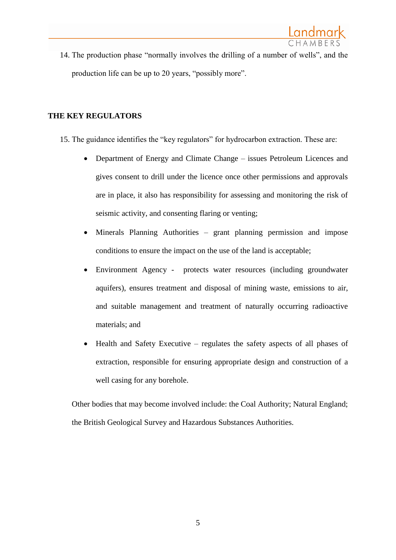14. The production phase "normally involves the drilling of a number of wells", and the production life can be up to 20 years, "possibly more".

# **THE KEY REGULATORS**

- 15. The guidance identifies the "key regulators" for hydrocarbon extraction. These are:
	- Department of Energy and Climate Change issues Petroleum Licences and gives consent to drill under the licence once other permissions and approvals are in place, it also has responsibility for assessing and monitoring the risk of seismic activity, and consenting flaring or venting;
	- Minerals Planning Authorities grant planning permission and impose conditions to ensure the impact on the use of the land is acceptable;
	- Environment Agency protects water resources (including groundwater aquifers), ensures treatment and disposal of mining waste, emissions to air, and suitable management and treatment of naturally occurring radioactive materials; and
	- Health and Safety Executive regulates the safety aspects of all phases of extraction, responsible for ensuring appropriate design and construction of a well casing for any borehole.

Other bodies that may become involved include: the Coal Authority; Natural England; the British Geological Survey and Hazardous Substances Authorities.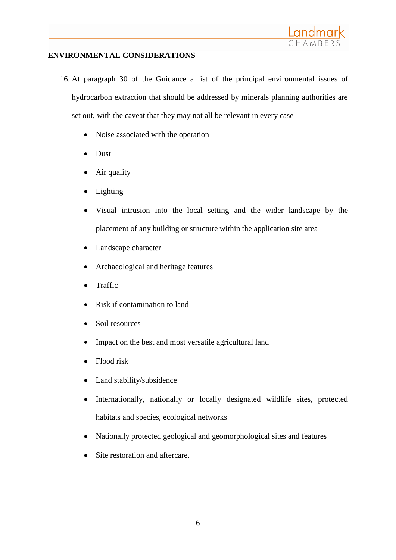

### **ENVIRONMENTAL CONSIDERATIONS**

- 16. At paragraph 30 of the Guidance a list of the principal environmental issues of hydrocarbon extraction that should be addressed by minerals planning authorities are set out, with the caveat that they may not all be relevant in every case
	- Noise associated with the operation
	- Dust
	- Air quality
	- Lighting
	- Visual intrusion into the local setting and the wider landscape by the placement of any building or structure within the application site area
	- Landscape character
	- Archaeological and heritage features
	- Traffic
	- Risk if contamination to land
	- Soil resources
	- Impact on the best and most versatile agricultural land
	- Flood risk
	- Land stability/subsidence
	- Internationally, nationally or locally designated wildlife sites, protected habitats and species, ecological networks
	- Nationally protected geological and geomorphological sites and features
	- Site restoration and aftercare.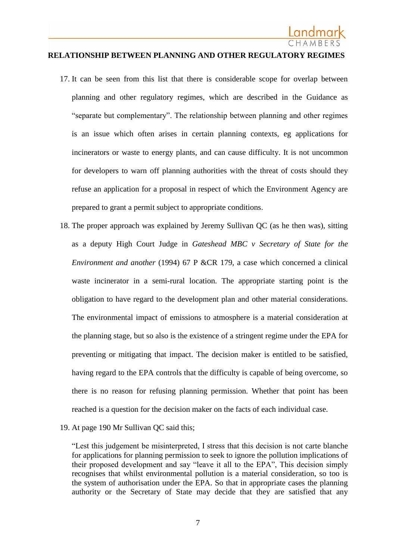#### **RELATIONSHIP BETWEEN PLANNING AND OTHER REGULATORY REGIMES**

- 17. It can be seen from this list that there is considerable scope for overlap between planning and other regulatory regimes, which are described in the Guidance as "separate but complementary". The relationship between planning and other regimes is an issue which often arises in certain planning contexts, eg applications for incinerators or waste to energy plants, and can cause difficulty. It is not uncommon for developers to warn off planning authorities with the threat of costs should they refuse an application for a proposal in respect of which the Environment Agency are prepared to grant a permit subject to appropriate conditions.
- 18. The proper approach was explained by Jeremy Sullivan QC (as he then was), sitting as a deputy High Court Judge in *Gateshead MBC v Secretary of State for the Environment and another* (1994) 67 P &CR 179, a case which concerned a clinical waste incinerator in a semi-rural location. The appropriate starting point is the obligation to have regard to the development plan and other material considerations. The environmental impact of emissions to atmosphere is a material consideration at the planning stage, but so also is the existence of a stringent regime under the EPA for preventing or mitigating that impact. The decision maker is entitled to be satisfied, having regard to the EPA controls that the difficulty is capable of being overcome, so there is no reason for refusing planning permission. Whether that point has been reached is a question for the decision maker on the facts of each individual case.
- 19. At page 190 Mr Sullivan QC said this;

"Lest this judgement be misinterpreted, I stress that this decision is not carte blanche for applications for planning permission to seek to ignore the pollution implications of their proposed development and say "leave it all to the EPA", This decision simply recognises that whilst environmental pollution is a material consideration, so too is the system of authorisation under the EPA. So that in appropriate cases the planning authority or the Secretary of State may decide that they are satisfied that any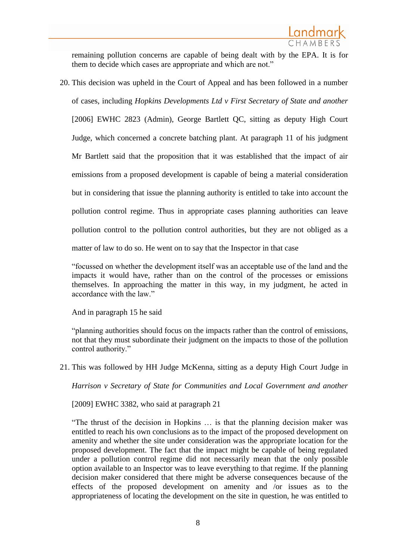remaining pollution concerns are capable of being dealt with by the EPA. It is for them to decide which cases are appropriate and which are not."

20. This decision was upheld in the Court of Appeal and has been followed in a number of cases, including *Hopkins Developments Ltd v First Secretary of State and another*  [2006] EWHC 2823 (Admin), George Bartlett QC, sitting as deputy High Court Judge, which concerned a concrete batching plant. At paragraph 11 of his judgment Mr Bartlett said that the proposition that it was established that the impact of air emissions from a proposed development is capable of being a material consideration but in considering that issue the planning authority is entitled to take into account the pollution control regime. Thus in appropriate cases planning authorities can leave pollution control to the pollution control authorities, but they are not obliged as a matter of law to do so. He went on to say that the Inspector in that case

"focussed on whether the development itself was an acceptable use of the land and the impacts it would have, rather than on the control of the processes or emissions themselves. In approaching the matter in this way, in my judgment, he acted in accordance with the law."

And in paragraph 15 he said

"planning authorities should focus on the impacts rather than the control of emissions, not that they must subordinate their judgment on the impacts to those of the pollution control authority."

21. This was followed by HH Judge McKenna, sitting as a deputy High Court Judge in

*Harrison v Secretary of State for Communities and Local Government and another* 

[2009] EWHC 3382, who said at paragraph 21

"The thrust of the decision in Hopkins … is that the planning decision maker was entitled to reach his own conclusions as to the impact of the proposed development on amenity and whether the site under consideration was the appropriate location for the proposed development. The fact that the impact might be capable of being regulated under a pollution control regime did not necessarily mean that the only possible option available to an Inspector was to leave everything to that regime. If the planning decision maker considered that there might be adverse consequences because of the effects of the proposed development on amenity and /or issues as to the appropriateness of locating the development on the site in question, he was entitled to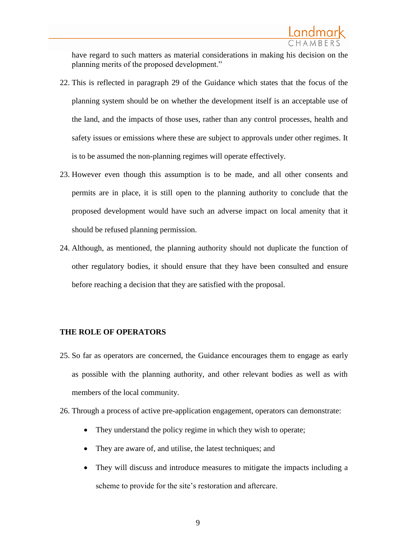have regard to such matters as material considerations in making his decision on the planning merits of the proposed development."

- 22. This is reflected in paragraph 29 of the Guidance which states that the focus of the planning system should be on whether the development itself is an acceptable use of the land, and the impacts of those uses, rather than any control processes, health and safety issues or emissions where these are subject to approvals under other regimes. It is to be assumed the non-planning regimes will operate effectively.
- 23. However even though this assumption is to be made, and all other consents and permits are in place, it is still open to the planning authority to conclude that the proposed development would have such an adverse impact on local amenity that it should be refused planning permission.
- 24. Although, as mentioned, the planning authority should not duplicate the function of other regulatory bodies, it should ensure that they have been consulted and ensure before reaching a decision that they are satisfied with the proposal.

#### **THE ROLE OF OPERATORS**

- 25. So far as operators are concerned, the Guidance encourages them to engage as early as possible with the planning authority, and other relevant bodies as well as with members of the local community.
- 26. Through a process of active pre-application engagement, operators can demonstrate:
	- They understand the policy regime in which they wish to operate;
	- They are aware of, and utilise, the latest techniques; and
	- They will discuss and introduce measures to mitigate the impacts including a scheme to provide for the site's restoration and aftercare.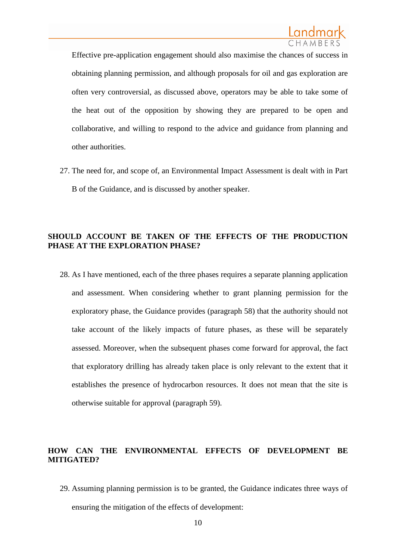Effective pre-application engagement should also maximise the chances of success in obtaining planning permission, and although proposals for oil and gas exploration are often very controversial, as discussed above, operators may be able to take some of the heat out of the opposition by showing they are prepared to be open and collaborative, and willing to respond to the advice and guidance from planning and other authorities.

27. The need for, and scope of, an Environmental Impact Assessment is dealt with in Part B of the Guidance, and is discussed by another speaker.

## **SHOULD ACCOUNT BE TAKEN OF THE EFFECTS OF THE PRODUCTION PHASE AT THE EXPLORATION PHASE?**

28. As I have mentioned, each of the three phases requires a separate planning application and assessment. When considering whether to grant planning permission for the exploratory phase, the Guidance provides (paragraph 58) that the authority should not take account of the likely impacts of future phases, as these will be separately assessed. Moreover, when the subsequent phases come forward for approval, the fact that exploratory drilling has already taken place is only relevant to the extent that it establishes the presence of hydrocarbon resources. It does not mean that the site is otherwise suitable for approval (paragraph 59).

# **HOW CAN THE ENVIRONMENTAL EFFECTS OF DEVELOPMENT BE MITIGATED?**

29. Assuming planning permission is to be granted, the Guidance indicates three ways of ensuring the mitigation of the effects of development: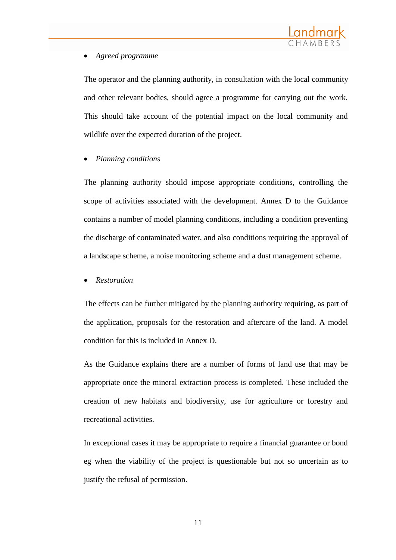

## *Agreed programme*

The operator and the planning authority, in consultation with the local community and other relevant bodies, should agree a programme for carrying out the work. This should take account of the potential impact on the local community and wildlife over the expected duration of the project.

#### *Planning conditions*

The planning authority should impose appropriate conditions, controlling the scope of activities associated with the development. Annex D to the Guidance contains a number of model planning conditions, including a condition preventing the discharge of contaminated water, and also conditions requiring the approval of a landscape scheme, a noise monitoring scheme and a dust management scheme.

#### *Restoration*

The effects can be further mitigated by the planning authority requiring, as part of the application, proposals for the restoration and aftercare of the land. A model condition for this is included in Annex D.

As the Guidance explains there are a number of forms of land use that may be appropriate once the mineral extraction process is completed. These included the creation of new habitats and biodiversity, use for agriculture or forestry and recreational activities.

In exceptional cases it may be appropriate to require a financial guarantee or bond eg when the viability of the project is questionable but not so uncertain as to justify the refusal of permission.